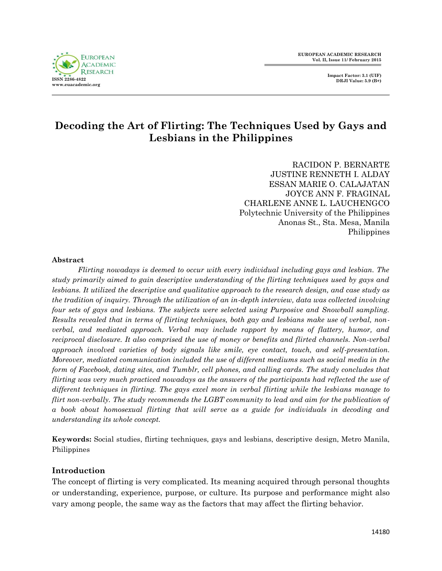

# **Decoding the Art of Flirting: The Techniques Used by Gays and Lesbians in the Philippines**

RACIDON P. BERNARTE JUSTINE RENNETH I. ALDAY ESSAN MARIE O. CALAJATAN JOYCE ANN F. FRAGINAL CHARLENE ANNE L. LAUCHENGCO Polytechnic University of the Philippines Anonas St., Sta. Mesa, Manila Philippines

### **Abstract**

*Flirting nowadays is deemed to occur with every individual including gays and lesbian. The study primarily aimed to gain descriptive understanding of the flirting techniques used by gays and lesbians. It utilized the descriptive and qualitative approach to the research design, and case study as the tradition of inquiry. Through the utilization of an in-depth interview, data was collected involving four sets of gays and lesbians. The subjects were selected using Purposive and Snowball sampling. Results revealed that in terms of flirting techniques, both gay and lesbians make use of verbal, nonverbal, and mediated approach. Verbal may include rapport by means of flattery, humor, and reciprocal disclosure. It also comprised the use of money or benefits and flirted channels. Non-verbal approach involved varieties of body signals like smile, eye contact, touch, and self-presentation. Moreover, mediated communication included the use of different mediums such as social media in the form of Facebook, dating sites, and Tumblr, cell phones, and calling cards. The study concludes that flirting was very much practiced nowadays as the answers of the participants had reflected the use of different techniques in flirting. The gays excel more in verbal flirting while the lesbians manage to flirt non-verbally. The study recommends the LGBT community to lead and aim for the publication of a book about homosexual flirting that will serve as a guide for individuals in decoding and understanding its whole concept.*

**Keywords:** Social studies, flirting techniques, gays and lesbians, descriptive design, Metro Manila, Philippines

## **Introduction**

The concept of flirting is very complicated. Its meaning acquired through personal thoughts or understanding, experience, purpose, or culture. Its purpose and performance might also vary among people, the same way as the factors that may affect the flirting behavior.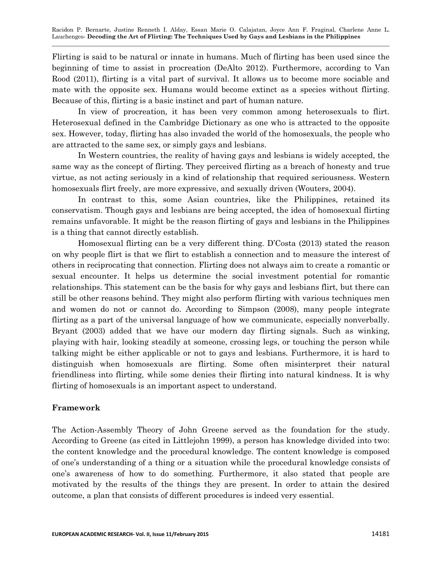Flirting is said to be natural or innate in humans. Much of flirting has been used since the beginning of time to assist in procreation (DeAlto 2012). Furthermore, according to Van Rood (2011), flirting is a vital part of survival. It allows us to become more sociable and mate with the opposite sex. Humans would become extinct as a species without flirting. Because of this, flirting is a basic instinct and part of human nature.

In view of procreation, it has been very common among heterosexuals to flirt. Heterosexual defined in the Cambridge Dictionary as one who is attracted to the opposite sex. However, today, flirting has also invaded the world of the homosexuals, the people who are attracted to the same sex, or simply gays and lesbians.

In Western countries, the reality of having gays and lesbians is widely accepted, the same way as the concept of flirting. They perceived flirting as a breach of honesty and true virtue, as not acting seriously in a kind of relationship that required seriousness. Western homosexuals flirt freely, are more expressive, and sexually driven (Wouters, 2004).

In contrast to this, some Asian countries, like the Philippines, retained its conservatism. Though gays and lesbians are being accepted, the idea of homosexual flirting remains unfavorable. It might be the reason flirting of gays and lesbians in the Philippines is a thing that cannot directly establish.

Homosexual flirting can be a very different thing. D'Costa (2013) stated the reason on why people flirt is that we flirt to establish a connection and to measure the interest of others in reciprocating that connection. Flirting does not always aim to create a romantic or sexual encounter. It helps us determine the social investment potential for romantic relationships. This statement can be the basis for why gays and lesbians flirt, but there can still be other reasons behind. They might also perform flirting with various techniques men and women do not or cannot do. According to Simpson (2008), many people integrate flirting as a part of the universal language of how we communicate, especially nonverbally. Bryant (2003) added that we have our modern day flirting signals. Such as winking, playing with hair, looking steadily at someone, crossing legs, or touching the person while talking might be either applicable or not to gays and lesbians. Furthermore, it is hard to distinguish when homosexuals are flirting. Some often misinterpret their natural friendliness into flirting, while some denies their flirting into natural kindness. It is why flirting of homosexuals is an important aspect to understand.

## **Framework**

The Action-Assembly Theory of John Greene served as the foundation for the study. According to Greene (as cited in Littlejohn 1999), a person has knowledge divided into two: the content knowledge and the procedural knowledge. The content knowledge is composed of one's understanding of a thing or a situation while the procedural knowledge consists of one's awareness of how to do something. Furthermore, it also stated that people are motivated by the results of the things they are present. In order to attain the desired outcome, a plan that consists of different procedures is indeed very essential.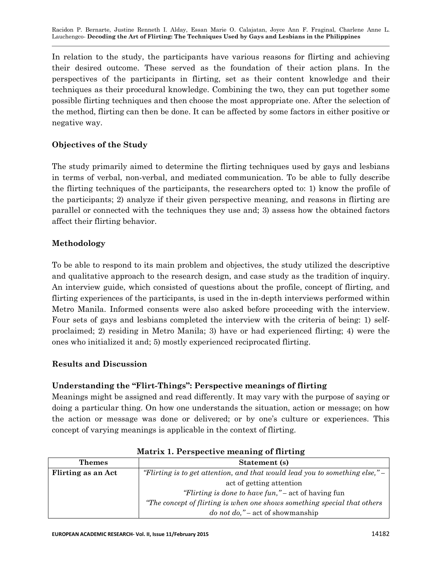In relation to the study, the participants have various reasons for flirting and achieving their desired outcome. These served as the foundation of their action plans. In the perspectives of the participants in flirting, set as their content knowledge and their techniques as their procedural knowledge. Combining the two, they can put together some possible flirting techniques and then choose the most appropriate one. After the selection of the method, flirting can then be done. It can be affected by some factors in either positive or negative way.

# **Objectives of the Study**

The study primarily aimed to determine the flirting techniques used by gays and lesbians in terms of verbal, non-verbal, and mediated communication. To be able to fully describe the flirting techniques of the participants, the researchers opted to: 1) know the profile of the participants; 2) analyze if their given perspective meaning, and reasons in flirting are parallel or connected with the techniques they use and; 3) assess how the obtained factors affect their flirting behavior.

## **Methodology**

To be able to respond to its main problem and objectives, the study utilized the descriptive and qualitative approach to the research design, and case study as the tradition of inquiry. An interview guide, which consisted of questions about the profile, concept of flirting, and flirting experiences of the participants, is used in the in-depth interviews performed within Metro Manila. Informed consents were also asked before proceeding with the interview. Four sets of gays and lesbians completed the interview with the criteria of being: 1) selfproclaimed; 2) residing in Metro Manila; 3) have or had experienced flirting; 4) were the ones who initialized it and; 5) mostly experienced reciprocated flirting.

## **Results and Discussion**

## **Understanding the "Flirt-Things": Perspective meanings of flirting**

Meanings might be assigned and read differently. It may vary with the purpose of saying or doing a particular thing. On how one understands the situation, action or message; on how the action or message was done or delivered; or by one's culture or experiences. This concept of varying meanings is applicable in the context of flirting.

| <b>Themes</b>      | Statement (s)                                                                  |
|--------------------|--------------------------------------------------------------------------------|
| Flirting as an Act | "Flirting is to get attention, and that would lead you to something else," $-$ |
|                    | act of getting attention                                                       |
|                    | "Flirting is done to have fun," – act of having fun                            |
|                    | "The concept of flirting is when one shows something special that others"      |
|                    | do not do," – act of showmanship                                               |

### **Matrix 1. Perspective meaning of flirting**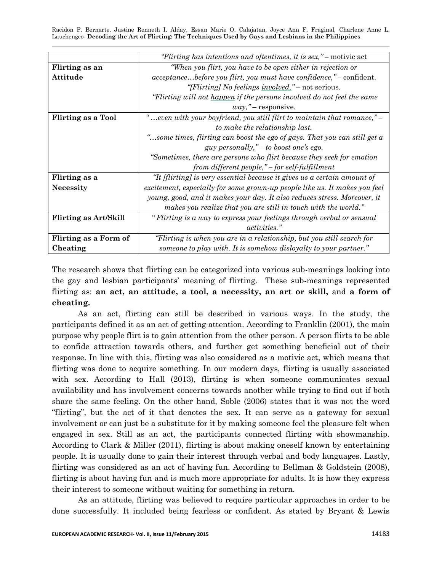|                              | "Flirting has intentions and oftentimes, it is sex," – motivic act          |
|------------------------------|-----------------------------------------------------------------------------|
| Flirting as an               | "When you flirt, you have to be open either in rejection or                 |
| Attitude                     | <i>acceptancebefore you flirt, you must have confidence,</i> " – confident. |
|                              | "[Flirting] No feelings involved." – not serious.                           |
|                              | "Flirting will not happen if the persons involved do not feel the same      |
|                              | way, "–response.                                                            |
| <b>Flirting as a Tool</b>    | "even with your boyfriend, you still flirt to maintain that romance," –     |
|                              | to make the relationship last.                                              |
|                              | "some times, flirting can boost the ego of gays. That you can still get a   |
|                              | guy personally," – to boost one's ego.                                      |
|                              | "Sometimes, there are persons who flirt because they seek for emotion       |
|                              | from different people," – for self-fulfillment                              |
| Flirting as a                | "It [flirting] is very essential because it gives us a certain amount of    |
| <b>Necessity</b>             | excitement, especially for some grown-up people like us. It makes you feel  |
|                              | young, good, and it makes your day. It also reduces stress. Moreover, it    |
|                              | makes you realize that you are still in touch with the world."              |
| <b>Flirting as Art/Skill</b> | "Flirting is a way to express your feelings through verbal or sensual       |
|                              | <i>activities.</i> "                                                        |
| Flirting as a Form of        | "Flirting is when you are in a relationship, but you still search for       |
| Cheating                     | someone to play with. It is somehow disloyalty to your partner."            |

The research shows that flirting can be categorized into various sub-meanings looking into the gay and lesbian participants' meaning of flirting. These sub-meanings represented flirting as: **an act, an attitude, a tool, a necessity, an art or skill,** and **a form of cheating.**

As an act, flirting can still be described in various ways. In the study, the participants defined it as an act of getting attention. According to Franklin (2001), the main purpose why people flirt is to gain attention from the other person. A person flirts to be able to confide attraction towards others, and further get something beneficial out of their response. In line with this, flirting was also considered as a motivic act, which means that flirting was done to acquire something. In our modern days, flirting is usually associated with sex. According to Hall (2013), flirting is when someone communicates sexual availability and has involvement concerns towards another while trying to find out if both share the same feeling. On the other hand, Soble (2006) states that it was not the word ―flirting‖, but the act of it that denotes the sex. It can serve as a gateway for sexual involvement or can just be a substitute for it by making someone feel the pleasure felt when engaged in sex. Still as an act, the participants connected flirting with showmanship. According to Clark & Miller (2011), flirting is about making oneself known by entertaining people. It is usually done to gain their interest through verbal and body languages. Lastly, flirting was considered as an act of having fun. According to Bellman & Goldstein (2008), flirting is about having fun and is much more appropriate for adults. It is how they express their interest to someone without waiting for something in return.

As an attitude, flirting was believed to require particular approaches in order to be done successfully. It included being fearless or confident. As stated by Bryant & Lewis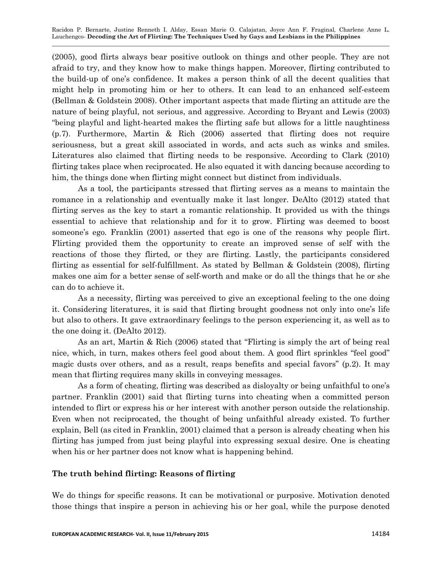(2005), good flirts always bear positive outlook on things and other people. They are not afraid to try, and they know how to make things happen. Moreover, flirting contributed to the build-up of one's confidence. It makes a person think of all the decent qualities that might help in promoting him or her to others. It can lead to an enhanced self-esteem (Bellman & Goldstein 2008). Other important aspects that made flirting an attitude are the nature of being playful, not serious, and aggressive. According to Bryant and Lewis (2003) ―being playful and light-hearted makes the flirting safe but allows for a little naughtiness (p.7). Furthermore, Martin & Rich (2006) asserted that flirting does not require seriousness, but a great skill associated in words, and acts such as winks and smiles. Literatures also claimed that flirting needs to be responsive. According to Clark (2010) flirting takes place when reciprocated. He also equated it with dancing because according to him, the things done when flirting might connect but distinct from individuals.

As a tool, the participants stressed that flirting serves as a means to maintain the romance in a relationship and eventually make it last longer. DeAlto (2012) stated that flirting serves as the key to start a romantic relationship. It provided us with the things essential to achieve that relationship and for it to grow. Flirting was deemed to boost someone's ego. Franklin (2001) asserted that ego is one of the reasons why people flirt. Flirting provided them the opportunity to create an improved sense of self with the reactions of those they flirted, or they are flirting. Lastly, the participants considered flirting as essential for self-fulfillment. As stated by Bellman & Goldstein (2008), flirting makes one aim for a better sense of self-worth and make or do all the things that he or she can do to achieve it.

As a necessity, flirting was perceived to give an exceptional feeling to the one doing it. Considering literatures, it is said that flirting brought goodness not only into one's life but also to others. It gave extraordinary feelings to the person experiencing it, as well as to the one doing it. (DeAlto 2012).

As an art, Martin & Rich (2006) stated that "Flirting is simply the art of being real nice, which, in turn, makes others feel good about them. A good flirt sprinkles "feel good" magic dusts over others, and as a result, reaps benefits and special favors"  $(p.2)$ . It may mean that flirting requires many skills in conveying messages.

As a form of cheating, flirting was described as disloyalty or being unfaithful to one's partner. Franklin (2001) said that flirting turns into cheating when a committed person intended to flirt or express his or her interest with another person outside the relationship. Even when not reciprocated, the thought of being unfaithful already existed. To further explain, Bell (as cited in Franklin, 2001) claimed that a person is already cheating when his flirting has jumped from just being playful into expressing sexual desire. One is cheating when his or her partner does not know what is happening behind.

## **The truth behind flirting: Reasons of flirting**

We do things for specific reasons. It can be motivational or purposive. Motivation denoted those things that inspire a person in achieving his or her goal, while the purpose denoted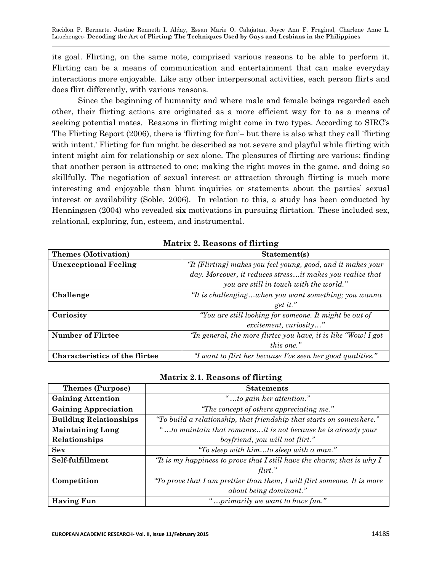its goal. Flirting, on the same note, comprised various reasons to be able to perform it. Flirting can be a means of communication and entertainment that can make everyday interactions more enjoyable. Like any other interpersonal activities, each person flirts and does flirt differently, with various reasons.

Since the beginning of humanity and where male and female beings regarded each other, their flirting actions are originated as a more efficient way for to as a means of seeking potential mates. Reasons in flirting might come in two types. According to SIRC's The Flirting Report (2006), there is ‗flirting for fun'– but there is also what they call 'flirting with intent.' Flirting for fun might be described as not severe and playful while flirting with intent might aim for relationship or sex alone. The pleasures of flirting are various: finding that another person is attracted to one; making the right moves in the game, and doing so skillfully. The negotiation of sexual interest or attraction through flirting is much more interesting and enjoyable than blunt inquiries or statements about the parties' sexual interest or availability (Soble, 2006). In relation to this, a study has been conducted by Henningsen (2004) who revealed six motivations in pursuing flirtation. These included sex, relational, exploring, fun, esteem, and instrumental.

| <b>Themes (Motivation)</b>            | Statement(s)                                                   |
|---------------------------------------|----------------------------------------------------------------|
| <b>Unexceptional Feeling</b>          | "It [Flirting] makes you feel young, good, and it makes your   |
|                                       | day. Moreover, it reduces stressit makes you realize that      |
|                                       | you are still in touch with the world."                        |
| Challenge                             | "It is challengingwhen you want something; you wanna           |
|                                       | get it."                                                       |
| Curiosity                             | "You are still looking for someone. It might be out of         |
|                                       | excitement, curiosity"                                         |
| <b>Number of Flirtee</b>              | "In general, the more flirtee you have, it is like "Wow! I got |
|                                       | this one."                                                     |
| <b>Characteristics of the flirtee</b> | "I want to flirt her because I've seen her good qualities."    |

**Matrix 2. Reasons of flirting**

### **Matrix 2.1. Reasons of flirting**

| <b>Themes (Purpose)</b>       | <b>Statements</b>                                                        |
|-------------------------------|--------------------------------------------------------------------------|
| <b>Gaining Attention</b>      | "to gain her attention."                                                 |
| <b>Gaining Appreciation</b>   | "The concept of others appreciating me."                                 |
| <b>Building Relationships</b> | "To build a relationship, that friendship that starts on somewhere."     |
| <b>Maintaining Long</b>       | "to maintain that romanceit is not because he is already your            |
| Relationships                 | boyfriend, you will not flirt."                                          |
| <b>Sex</b>                    | "To sleep with himto sleep with a man."                                  |
| Self-fulfillment              | "It is my happiness to prove that I still have the charm; that is why I  |
|                               | flirt."                                                                  |
| Competition                   | "To prove that I am prettier than them, I will flirt someone. It is more |
|                               | about being dominant."                                                   |
| <b>Having Fun</b>             | 'primarily we want to have fun."                                         |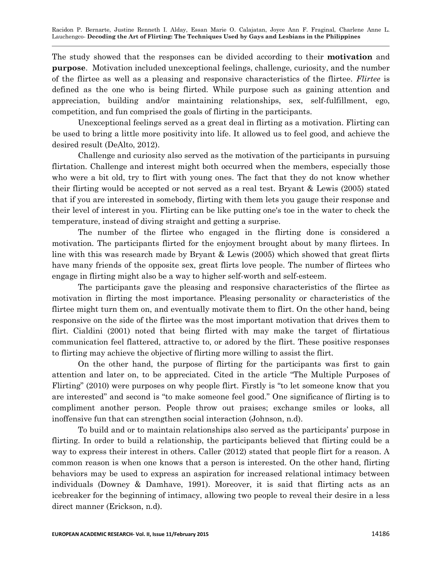The study showed that the responses can be divided according to their **motivation** and **purpose**. Motivation included unexceptional feelings, challenge, curiosity, and the number of the flirtee as well as a pleasing and responsive characteristics of the flirtee. *Flirtee* is defined as the one who is being flirted. While purpose such as gaining attention and appreciation, building and/or maintaining relationships, sex, self-fulfillment, ego, competition, and fun comprised the goals of flirting in the participants.

Unexceptional feelings served as a great deal in flirting as a motivation. Flirting can be used to bring a little more positivity into life. It allowed us to feel good, and achieve the desired result (DeAlto, 2012).

Challenge and curiosity also served as the motivation of the participants in pursuing flirtation. Challenge and interest might both occurred when the members, especially those who were a bit old, try to flirt with young ones. The fact that they do not know whether their flirting would be accepted or not served as a real test. Bryant & Lewis (2005) stated that if you are interested in somebody, flirting with them lets you gauge their response and their level of interest in you. Flirting can be like putting one's toe in the water to check the temperature, instead of diving straight and getting a surprise.

The number of the flirtee who engaged in the flirting done is considered a motivation. The participants flirted for the enjoyment brought about by many flirtees. In line with this was research made by Bryant & Lewis (2005) which showed that great flirts have many friends of the opposite sex, great flirts love people. The number of flirtees who engage in flirting might also be a way to higher self-worth and self-esteem.

The participants gave the pleasing and responsive characteristics of the flirtee as motivation in flirting the most importance. Pleasing personality or characteristics of the flirtee might turn them on, and eventually motivate them to flirt. On the other hand, being responsive on the side of the flirtee was the most important motivation that drives them to flirt. Cialdini (2001) noted that being flirted with may make the target of flirtatious communication feel flattered, attractive to, or adored by the flirt. These positive responses to flirting may achieve the objective of flirting more willing to assist the flirt.

On the other hand, the purpose of flirting for the participants was first to gain attention and later on, to be appreciated. Cited in the article "The Multiple Purposes of Flirting" (2010) were purposes on why people flirt. Firstly is "to let someone know that you are interested" and second is "to make someone feel good." One significance of flirting is to compliment another person. People throw out praises; exchange smiles or looks, all inoffensive fun that can strengthen social interaction (Johnson, n.d).

To build and or to maintain relationships also served as the participants' purpose in flirting. In order to build a relationship, the participants believed that flirting could be a way to express their interest in others. Caller (2012) stated that people flirt for a reason. A common reason is when one knows that a person is interested. On the other hand, flirting behaviors may be used to express an aspiration for increased relational intimacy between individuals (Downey & Damhave, 1991). Moreover, it is said that flirting acts as an icebreaker for the beginning of intimacy, allowing two people to reveal their desire in a less direct manner (Erickson, n.d).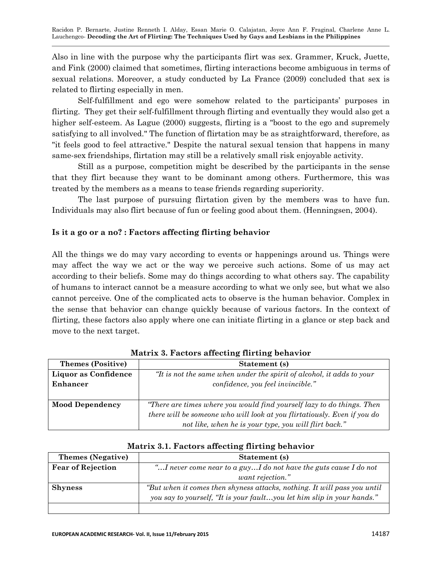Also in line with the purpose why the participants flirt was sex. Grammer, Kruck, Juette, and Fink (2000) claimed that sometimes, flirting interactions become ambiguous in terms of sexual relations. Moreover, a study conducted by La France (2009) concluded that sex is related to flirting especially in men.

Self-fulfillment and ego were somehow related to the participants' purposes in flirting. They get their self-fulfillment through flirting and eventually they would also get a higher self-esteem. As Lague (2000) suggests, flirting is a "boost to the ego and supremely satisfying to all involved." The function of flirtation may be as straightforward, therefore, as "it feels good to feel attractive." Despite the natural sexual tension that happens in many same-sex friendships, flirtation may still be a relatively small risk enjoyable activity.

Still as a purpose, competition might be described by the participants in the sense that they flirt because they want to be dominant among others. Furthermore, this was treated by the members as a means to tease friends regarding superiority.

The last purpose of pursuing flirtation given by the members was to have fun. Individuals may also flirt because of fun or feeling good about them. (Henningsen, 2004).

## **Is it a go or a no? : Factors affecting flirting behavior**

All the things we do may vary according to events or happenings around us. Things were may affect the way we act or the way we perceive such actions. Some of us may act according to their beliefs. Some may do things according to what others say. The capability of humans to interact cannot be a measure according to what we only see, but what we also cannot perceive. One of the complicated acts to observe is the human behavior. Complex in the sense that behavior can change quickly because of various factors. In the context of flirting, these factors also apply where one can initiate flirting in a glance or step back and move to the next target.

| <b>Themes (Positive)</b> | Statement (s)                                                            |
|--------------------------|--------------------------------------------------------------------------|
| Liquor as Confidence     | "It is not the same when under the spirit of alcohol, it adds to your    |
| Enhancer                 | confidence, you feel invincible."                                        |
|                          |                                                                          |
| <b>Mood Dependency</b>   | "There are times where you would find yourself lazy to do things. Then   |
|                          | there will be someone who will look at you flirtatiously. Even if you do |
|                          | not like, when he is your type, you will flirt back."                    |

**Matrix 3. Factors affecting flirting behavior**

| <b>Themes</b> (Negative) | Statement (s)                                                            |
|--------------------------|--------------------------------------------------------------------------|
| <b>Fear of Rejection</b> | " I never come near to a guy I do not have the guts cause I do not       |
|                          | want rejection."                                                         |
| <b>Shyness</b>           | "But when it comes then shyness attacks, nothing. It will pass you until |
|                          | you say to yourself, "It is your faultyou let him slip in your hands."   |
|                          |                                                                          |

## **Matrix 3.1. Factors affecting flirting behavior**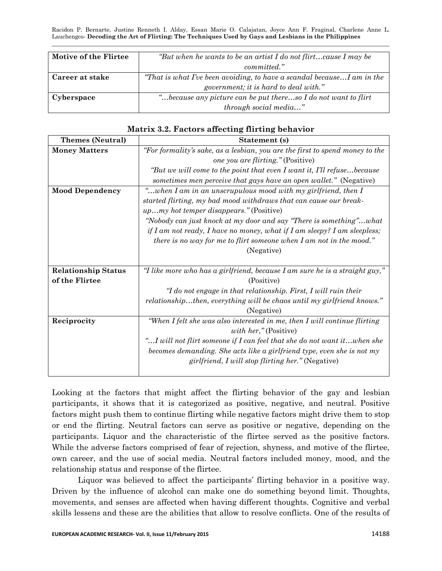| Motive of the Flirtee | "But when he wants to be an artist I do not flirtcause I may be         |
|-----------------------|-------------------------------------------------------------------------|
|                       | committed."                                                             |
| Career at stake       | "That is what I've been avoiding, to have a scandal because I am in the |
|                       | government; it is hard to deal with."                                   |
| Cyberspace            | "because any picture can be put thereso I do not want to flirt"         |
|                       | $through\ social\ media"$                                               |

| <b>Themes (Neutral)</b>    | Statement (s)                                                                |
|----------------------------|------------------------------------------------------------------------------|
| <b>Money Matters</b>       | "For formality's sake, as a lesbian, you are the first to spend money to the |
|                            | one you are flirting." (Positive)                                            |
|                            | "But we will come to the point that even I want it, I'll refusebecause       |
|                            | sometimes men perceive that gays have an open wallet." (Negative)            |
| <b>Mood Dependency</b>     | "when I am in an unscrupulous mood with my girlfriend, then I                |
|                            | started flirting, my bad mood withdraws that can cause our break-            |
|                            | <i>upmy hot temper disappears.</i> " (Positive)                              |
|                            | "Nobody can just knock at my door and say "There is something"what           |
|                            | if I am not ready, I have no money, what if I am sleepy? I am sleepless;     |
|                            | there is no way for me to flirt someone when $I$ am not in the mood."        |
|                            | (Negative)                                                                   |
|                            |                                                                              |
| <b>Relationship Status</b> | "I like more who has a girlfriend, because I am sure he is a straight guy,"  |
| of the Flirtee             | (Positive)                                                                   |
|                            | "I do not engage in that relationship. First, I will ruin their              |
|                            | relationshipthen, everything will be chaos until my girlfriend knows."       |
|                            | (Negative)                                                                   |
| Reciprocity                | "When I felt she was also interested in me, then I will continue flirting    |
|                            | with her," (Positive)                                                        |
|                            | "I will not flirt someone if I can feel that she do not want itwhen she      |
|                            | becomes demanding. She acts like a girlfriend type, even she is not my       |
|                            | girlfriend, I will stop flirting her." (Negative)                            |
|                            |                                                                              |

## **Matrix 3.2. Factors affecting flirting behavior**

Looking at the factors that might affect the flirting behavior of the gay and lesbian participants, it shows that it is categorized as positive, negative, and neutral. Positive factors might push them to continue flirting while negative factors might drive them to stop or end the flirting. Neutral factors can serve as positive or negative, depending on the participants. Liquor and the characteristic of the flirtee served as the positive factors. While the adverse factors comprised of fear of rejection, shyness, and motive of the flirtee, own career, and the use of social media. Neutral factors included money, mood, and the relationship status and response of the flirtee.

Liquor was believed to affect the participants' flirting behavior in a positive way. Driven by the influence of alcohol can make one do something beyond limit. Thoughts, movements, and senses are affected when having different thoughts. Cognitive and verbal skills lessens and these are the abilities that allow to resolve conflicts. One of the results of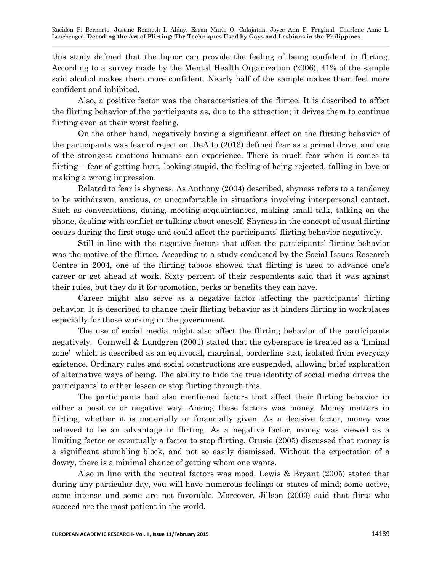this study defined that the liquor can provide the feeling of being confident in flirting. According to a survey made by the Mental Health Organization (2006), 41% of the sample said alcohol makes them more confident. Nearly half of the sample makes them feel more confident and inhibited.

Also, a positive factor was the characteristics of the flirtee. It is described to affect the flirting behavior of the participants as, due to the attraction; it drives them to continue flirting even at their worst feeling.

On the other hand, negatively having a significant effect on the flirting behavior of the participants was fear of rejection. DeAlto (2013) defined fear as a primal drive, and one of the strongest emotions humans can experience. There is much fear when it comes to flirting – fear of getting hurt, looking stupid, the feeling of being rejected, falling in love or making a wrong impression.

Related to fear is shyness. As Anthony (2004) described, shyness refers to a tendency to be withdrawn, anxious, or uncomfortable in situations involving interpersonal contact. Such as conversations, dating, meeting acquaintances, making small talk, talking on the phone, dealing with conflict or talking about oneself. Shyness in the concept of usual flirting occurs during the first stage and could affect the participants' flirting behavior negatively.

Still in line with the negative factors that affect the participants' flirting behavior was the motive of the flirtee. According to a study conducted by the Social Issues Research Centre in 2004, one of the flirting taboos showed that flirting is used to advance one's career or get ahead at work. Sixty percent of their respondents said that it was against their rules, but they do it for promotion, perks or benefits they can have.

Career might also serve as a negative factor affecting the participants' flirting behavior. It is described to change their flirting behavior as it hinders flirting in workplaces especially for those working in the government.

The use of social media might also affect the flirting behavior of the participants negatively. Cornwell  $\&$  Lundgren (2001) stated that the cyberspace is treated as a 'liminal zone' which is described as an equivocal, marginal, borderline stat, isolated from everyday existence. Ordinary rules and social constructions are suspended, allowing brief exploration of alternative ways of being. The ability to hide the true identity of social media drives the participants' to either lessen or stop flirting through this.

The participants had also mentioned factors that affect their flirting behavior in either a positive or negative way. Among these factors was money. Money matters in flirting, whether it is materially or financially given. As a decisive factor, money was believed to be an advantage in flirting. As a negative factor, money was viewed as a limiting factor or eventually a factor to stop flirting. Crusie (2005) discussed that money is a significant stumbling block, and not so easily dismissed. Without the expectation of a dowry, there is a minimal chance of getting whom one wants.

Also in line with the neutral factors was mood. Lewis & Bryant (2005) stated that during any particular day, you will have numerous feelings or states of mind; some active, some intense and some are not favorable. Moreover, Jillson (2003) said that flirts who succeed are the most patient in the world.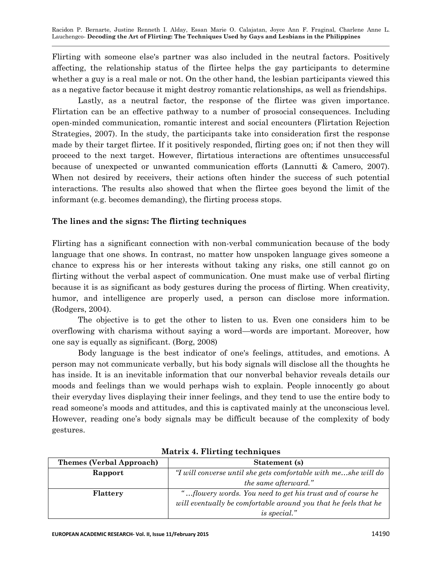Flirting with someone else's partner was also included in the neutral factors. Positively affecting, the relationship status of the flirtee helps the gay participants to determine whether a guy is a real male or not. On the other hand, the lesbian participants viewed this as a negative factor because it might destroy romantic relationships, as well as friendships.

Lastly, as a neutral factor, the response of the flirtee was given importance. Flirtation can be an effective pathway to a number of prosocial consequences. Including open-minded communication, romantic interest and social encounters (Flirtation Rejection Strategies, 2007). In the study, the participants take into consideration first the response made by their target flirtee. If it positively responded, flirting goes on; if not then they will proceed to the next target. However, flirtatious interactions are oftentimes unsuccessful because of unexpected or unwanted communication efforts (Lannutti & Camero, 2007). When not desired by receivers, their actions often hinder the success of such potential interactions. The results also showed that when the flirtee goes beyond the limit of the informant (e.g. becomes demanding), the flirting process stops.

## **The lines and the signs: The flirting techniques**

Flirting has a significant connection with non-verbal communication because of the body language that one shows. In contrast, no matter how unspoken language gives someone a chance to express his or her interests without taking any risks, one still cannot go on flirting without the verbal aspect of communication. One must make use of verbal flirting because it is as significant as body gestures during the process of flirting. When creativity, humor, and intelligence are properly used, a person can disclose more information. (Rodgers, 2004).

The objective is to get the other to listen to us. Even one considers him to be overflowing with charisma without saying a word—words are important. Moreover, how one say is equally as significant. (Borg, 2008)

Body language is the best indicator of one's feelings, attitudes, and emotions. A person may not communicate verbally, but his body signals will disclose all the thoughts he has inside. It is an inevitable information that our nonverbal behavior reveals details our moods and feelings than we would perhaps wish to explain. People innocently go about their everyday lives displaying their inner feelings, and they tend to use the entire body to read someone's moods and attitudes, and this is captivated mainly at the unconscious level. However, reading one's body signals may be difficult because of the complexity of body gestures.

| <b>Themes (Verbal Approach)</b> | Statement (s)                                                   |
|---------------------------------|-----------------------------------------------------------------|
| Rapport                         | "I will converse until she gets comfortable with meshe will do  |
|                                 | the same afterward."                                            |
| Flattery                        | "flowery words. You need to get his trust and of course he      |
|                                 | will eventually be comfortable around you that he feels that he |
|                                 | <i>is special.</i> "                                            |

**Matrix 4. Flirting techniques**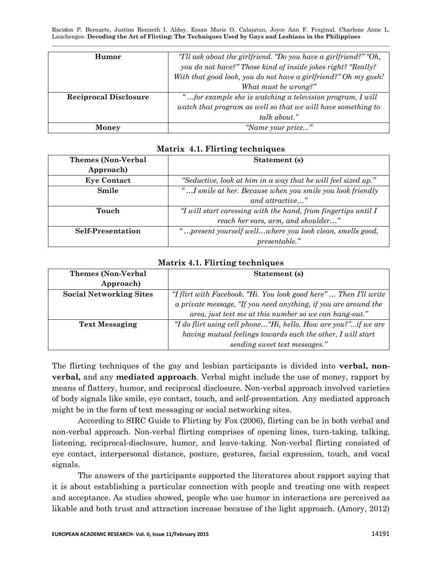| Humor                        | "T'll ask about the girlfriend. "Do you have a girlfriend?" "Oh, |
|------------------------------|------------------------------------------------------------------|
|                              | you do not have?" Those kind of inside jokes right? "Really?     |
|                              | With that good look, you do not have a girlfriend?" Oh my gosh!  |
|                              | What must be wrong?"                                             |
| <b>Reciprocal Disclosure</b> | "for example she is watching a television program, I will        |
|                              | watch that program as well so that we will have something to     |
|                              | talk about."                                                     |
| Money                        | "Name your price"                                                |

| <b>Themes (Non-Verbal</b> | Statement (s)                                                  |
|---------------------------|----------------------------------------------------------------|
| Approach)                 |                                                                |
| <b>Eye Contact</b>        | "Seductive, look at him in a way that he will feel sized up."  |
| Smile                     | "I smile at her. Because when you smile you look friendly      |
|                           | and attractive"                                                |
| Touch                     | "I will start caressing with the hand, from fingertips until I |
|                           | reach her ears, arm, and shoulder"                             |
| <b>Self-Presentation</b>  | "present yourself wellwhere you look clean, smells good,       |
|                           | $presentable.$ "                                               |

#### **Matrix 4.1. Flirting techniques**

#### **Matrix 4.1. Flirting techniques**

| <b>Themes (Non-Verbal</b>      | Statement (s)                                                    |
|--------------------------------|------------------------------------------------------------------|
| Approach)                      |                                                                  |
| <b>Social Networking Sites</b> | "I flirt with Facebook. "Hi. You look good here" Then I'll write |
|                                | a private message, "If you need anything, if you are around the  |
|                                | area, just text me at this number so we can hang-out."           |
| <b>Text Messaging</b>          | "I do flirt using cell phone"Hi, hello. How are you?"if we are   |
|                                | having mutual feelings towards each the other, I will start      |
|                                | sending sweet text messages."                                    |

The flirting techniques of the gay and lesbian participants is divided into **verbal, nonverbal,** and any **mediated approach**. Verbal might include the use of money, rapport by means of flattery, humor, and reciprocal disclosure. Non-verbal approach involved varieties of body signals like smile, eye contact, touch, and self-presentation. Any mediated approach might be in the form of text messaging or social networking sites.

According to SIRC Guide to Flirting by Fox (2006), flirting can be in both verbal and non-verbal approach. Non-verbal flirting comprises of opening lines, turn-taking, talking, listening, reciprocal-disclosure, humor, and leave-taking. Non-verbal flirting consisted of eye contact, interpersonal distance, posture, gestures, facial expression, touch, and vocal signals.

The answers of the participants supported the literatures about rapport saying that it is about establishing a particular connection with people and treating one with respect and acceptance. As studies showed, people who use humor in interactions are perceived as likable and both trust and attraction increase because of the light approach. (Amory, 2012)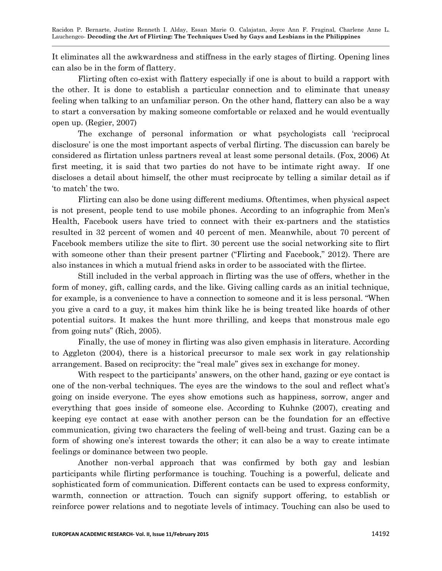It eliminates all the awkwardness and stiffness in the early stages of flirting. Opening lines can also be in the form of flattery.

Flirting often co-exist with flattery especially if one is about to build a rapport with the other. It is done to establish a particular connection and to eliminate that uneasy feeling when talking to an unfamiliar person. On the other hand, flattery can also be a way to start a conversation by making someone comfortable or relaxed and he would eventually open up. (Regier, 2007)

The exchange of personal information or what psychologists call 'reciprocal disclosure' is one the most important aspects of verbal flirting. The discussion can barely be considered as flirtation unless partners reveal at least some personal details. (Fox, 2006) At first meeting, it is said that two parties do not have to be intimate right away. If one discloses a detail about himself, the other must reciprocate by telling a similar detail as if ‗to match' the two.

Flirting can also be done using different mediums. Oftentimes, when physical aspect is not present, people tend to use mobile phones. According to an infographic from Men's Health, Facebook users have tried to connect with their ex-partners and the statistics resulted in 32 percent of women and 40 percent of men. Meanwhile, about 70 percent of Facebook members utilize the site to flirt. 30 percent use the social networking site to flirt with someone other than their present partner ("Flirting and Facebook," 2012). There are also instances in which a mutual friend asks in order to be associated with the flirtee.

Still included in the verbal approach in flirting was the use of offers, whether in the form of money, gift, calling cards, and the like. Giving calling cards as an initial technique, for example, is a convenience to have a connection to someone and it is less personal. "When you give a card to a guy, it makes him think like he is being treated like hoards of other potential suitors. It makes the hunt more thrilling, and keeps that monstrous male ego from going nuts" (Rich,  $2005$ ).

Finally, the use of money in flirting was also given emphasis in literature. According to Aggleton (2004), there is a historical precursor to male sex work in gay relationship arrangement. Based on reciprocity: the "real male" gives sex in exchange for money.

With respect to the participants' answers, on the other hand, gazing or eye contact is one of the non-verbal techniques. The eyes are the windows to the soul and reflect what's going on inside everyone. The eyes show emotions such as happiness, sorrow, anger and everything that goes inside of someone else. According to Kuhnke (2007), creating and keeping eye contact at ease with another person can be the foundation for an effective communication, giving two characters the feeling of well-being and trust. Gazing can be a form of showing one's interest towards the other; it can also be a way to create intimate feelings or dominance between two people.

Another non-verbal approach that was confirmed by both gay and lesbian participants while flirting performance is touching. Touching is a powerful, delicate and sophisticated form of communication. Different contacts can be used to express conformity, warmth, connection or attraction. Touch can signify support offering, to establish or reinforce power relations and to negotiate levels of intimacy. Touching can also be used to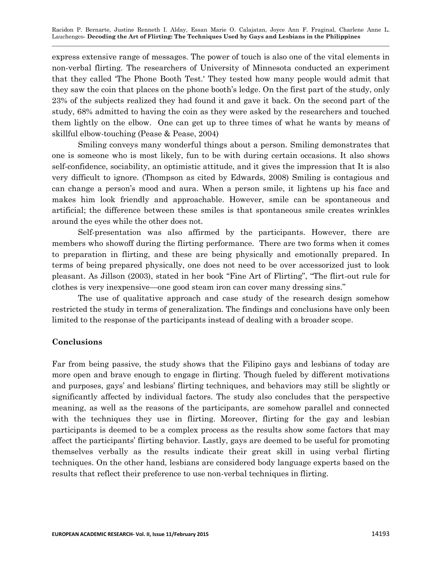express extensive range of messages. The power of touch is also one of the vital elements in non-verbal flirting. The researchers of University of Minnesota conducted an experiment that they called ‗The Phone Booth Test.' They tested how many people would admit that they saw the coin that places on the phone booth's ledge. On the first part of the study, only 23% of the subjects realized they had found it and gave it back. On the second part of the study, 68% admitted to having the coin as they were asked by the researchers and touched them lightly on the elbow. One can get up to three times of what he wants by means of skillful elbow-touching (Pease & Pease, 2004)

Smiling conveys many wonderful things about a person. Smiling demonstrates that one is someone who is most likely, fun to be with during certain occasions. It also shows self-confidence, sociability, an optimistic attitude, and it gives the impression that It is also very difficult to ignore. (Thompson as cited by Edwards, 2008) Smiling is contagious and can change a person's mood and aura. When a person smile, it lightens up his face and makes him look friendly and approachable. However, smile can be spontaneous and artificial; the difference between these smiles is that spontaneous smile creates wrinkles around the eyes while the other does not.

Self-presentation was also affirmed by the participants. However, there are members who showoff during the flirting performance. There are two forms when it comes to preparation in flirting, and these are being physically and emotionally prepared. In terms of being prepared physically, one does not need to be over accessorized just to look pleasant. As Jillson (2003), stated in her book "Fine Art of Flirting", "The flirt-out rule for clothes is very inexpensive—one good steam iron can cover many dressing sins."

The use of qualitative approach and case study of the research design somehow restricted the study in terms of generalization. The findings and conclusions have only been limited to the response of the participants instead of dealing with a broader scope.

### **Conclusions**

Far from being passive, the study shows that the Filipino gays and lesbians of today are more open and brave enough to engage in flirting. Though fueled by different motivations and purposes, gays' and lesbians' flirting techniques, and behaviors may still be slightly or significantly affected by individual factors. The study also concludes that the perspective meaning, as well as the reasons of the participants, are somehow parallel and connected with the techniques they use in flirting. Moreover, flirting for the gay and lesbian participants is deemed to be a complex process as the results show some factors that may affect the participants' flirting behavior. Lastly, gays are deemed to be useful for promoting themselves verbally as the results indicate their great skill in using verbal flirting techniques. On the other hand, lesbians are considered body language experts based on the results that reflect their preference to use non-verbal techniques in flirting.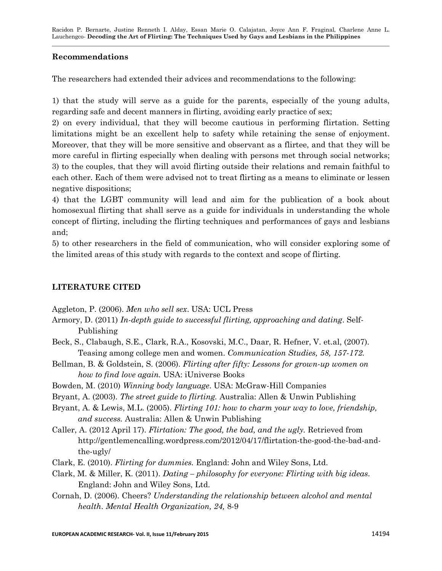## **Recommendations**

The researchers had extended their advices and recommendations to the following:

1) that the study will serve as a guide for the parents, especially of the young adults, regarding safe and decent manners in flirting, avoiding early practice of sex;

2) on every individual, that they will become cautious in performing flirtation. Setting limitations might be an excellent help to safety while retaining the sense of enjoyment. Moreover, that they will be more sensitive and observant as a flirtee, and that they will be more careful in flirting especially when dealing with persons met through social networks; 3) to the couples, that they will avoid flirting outside their relations and remain faithful to each other. Each of them were advised not to treat flirting as a means to eliminate or lessen negative dispositions;

4) that the LGBT community will lead and aim for the publication of a book about homosexual flirting that shall serve as a guide for individuals in understanding the whole concept of flirting, including the flirting techniques and performances of gays and lesbians and;

5) to other researchers in the field of communication, who will consider exploring some of the limited areas of this study with regards to the context and scope of flirting.

## **LITERATURE CITED**

Aggleton, P. (2006). *Men who sell sex*. USA: UCL Press

- Armory, D. (2011) *In-depth guide to successful flirting, approaching and dating*. Self-Publishing
- Beck, S., Clabaugh, S.E., Clark, R.A., Kosovski, M.C., Daar, R. Hefner, V. et.al, (2007). Teasing among college men and women. *Communication Studies, 58, 157-172.*
- Bellman, B. & Goldstein, S. (2006). *Flirting after fifty: Lessons for grown-up women on how to find love again.* USA: iUniverse Books
- Bowden, M. (2010) *Winning body language*. USA: McGraw-Hill Companies
- Bryant, A. (2003). *The street guide to flirting.* Australia: Allen & Unwin Publishing
- Bryant, A. & Lewis, M.L. (2005). *Flirting 101: how to charm your way to love, friendship, and success.* Australia: Allen & Unwin Publishing
- Caller, A. (2012 April 17). *Flirtation: The good, the bad, and the ugly.* Retrieved from [http://gentlemencalling.wordpress.com/2012/04/17/flirtation-the-good-the-bad-and](http://gentlemencalling.wordpress.com/2012/04/17/flirtation-the-good-the-bad-and-the-ugly/)[the-ugly/](http://gentlemencalling.wordpress.com/2012/04/17/flirtation-the-good-the-bad-and-the-ugly/)
- Clark, E. (2010). *Flirting for dummies.* England: John and Wiley Sons, Ltd.
- Clark, M. & Miller, K. (2011). *Dating – philosophy for everyone: Flirting with big ideas.* England: John and Wiley Sons, Ltd.
- Cornah, D. (2006). Cheers? *Understanding the relationship between alcohol and mental health*. *Mental Health Organization, 24,* 8-9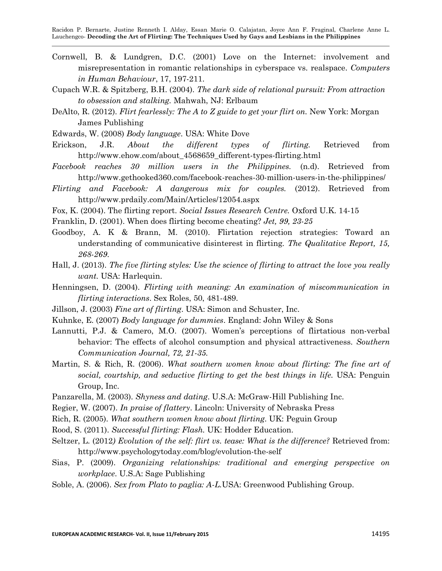- Cornwell, B. & Lundgren, D.C. (2001) Love on the Internet: involvement and misrepresentation in romantic relationships in cyberspace vs. realspace. *Computers in Human Behaviour*, 17, 197-211.
- Cupach W.R. & Spitzberg, B.H. (2004). *The dark side of relational pursuit: From attraction to obsession and stalking.* Mahwah, NJ: Erlbaum
- DeAlto, R. (2012). *Flirt fearlessly: The A to Z guide to get your flirt on.* New York: Morgan James Publishing
- Edwards, W. (2008) *Body language*. USA: White Dove
- Erickson, J.R. *About the different types of flirting.* Retrieved from [http://www.ehow.com/about\\_4568659\\_different-types-flirting.html](http://www.ehow.com/about_4568659_different-types-flirting.html)
- *Facebook reaches 30 million users in the Philippines.* (n.d). Retrieved from http://www.gethooked360.com/facebook-reaches-30-million-users-in-the-philippines/
- *Flirting and Facebook: A dangerous mix for couples.* (2012). Retrieved from <http://www.prdaily.com/Main/Articles/12054.aspx>
- Fox, K. (2004). The flirting report. *Social Issues Research Centre.* Oxford U.K. 14-15
- Franklin, D. (2001). When does flirting become cheating? *Jet, 99, 23-25*
- Goodboy, A. K & Brann, M. (2010). Flirtation rejection strategies: Toward an understanding of communicative disinterest in flirting. *The Qualitative Report, 15, 268-269*.
- Hall, J. (2013). *The five flirting styles: Use the science of flirting to attract the love you really want.* USA: Harlequin.
- Henningsen, D. (2004). *Flirting with meaning: An examination of miscommunication in flirting interactions*. Sex Roles, 50, 481-489.
- Jillson, J. (2003) *Fine art of flirting*. USA: Simon and Schuster, Inc.
- Kuhnke, E. (2007) *Body language for dummies*. England: John Wiley & Sons
- Lannutti, P.J. & Camero, M.O. (2007). Women's perceptions of flirtatious non-verbal behavior: The effects of alcohol consumption and physical attractiveness. *Southern Communication Journal, 72, 21-35.*
- Martin, S. & Rich, R. (2006). *What southern women know about flirting: The fine art of social, courtship, and seductive flirting to get the best things in life.* USA: Penguin Group, Inc.
- Panzarella, M. (2003). *Shyness and dating*. U.S.A: McGraw-Hill Publishing Inc.
- Regier, W. (2007). *In praise of flattery*. Lincoln: University of Nebraska Press
- Rich, R. (2005). *What southern women know about flirting*. UK: Peguin Group
- Rood, S. (2011). *Successful flirting: Flash.* UK: Hodder Education.
- Seltzer, L. (2012*) Evolution of the self: flirt vs. tease: What is the difference?* Retrieved from: <http://www.psychologytoday.com/blog/evolution-the-self>
- Sias, P. (2009). *Organizing relationships: traditional and emerging perspective on workplace*. U.S.A: Sage Publishing
- Soble, A. (2006). *Sex from Plato to paglia: A-L.*USA: Greenwood Publishing Group.